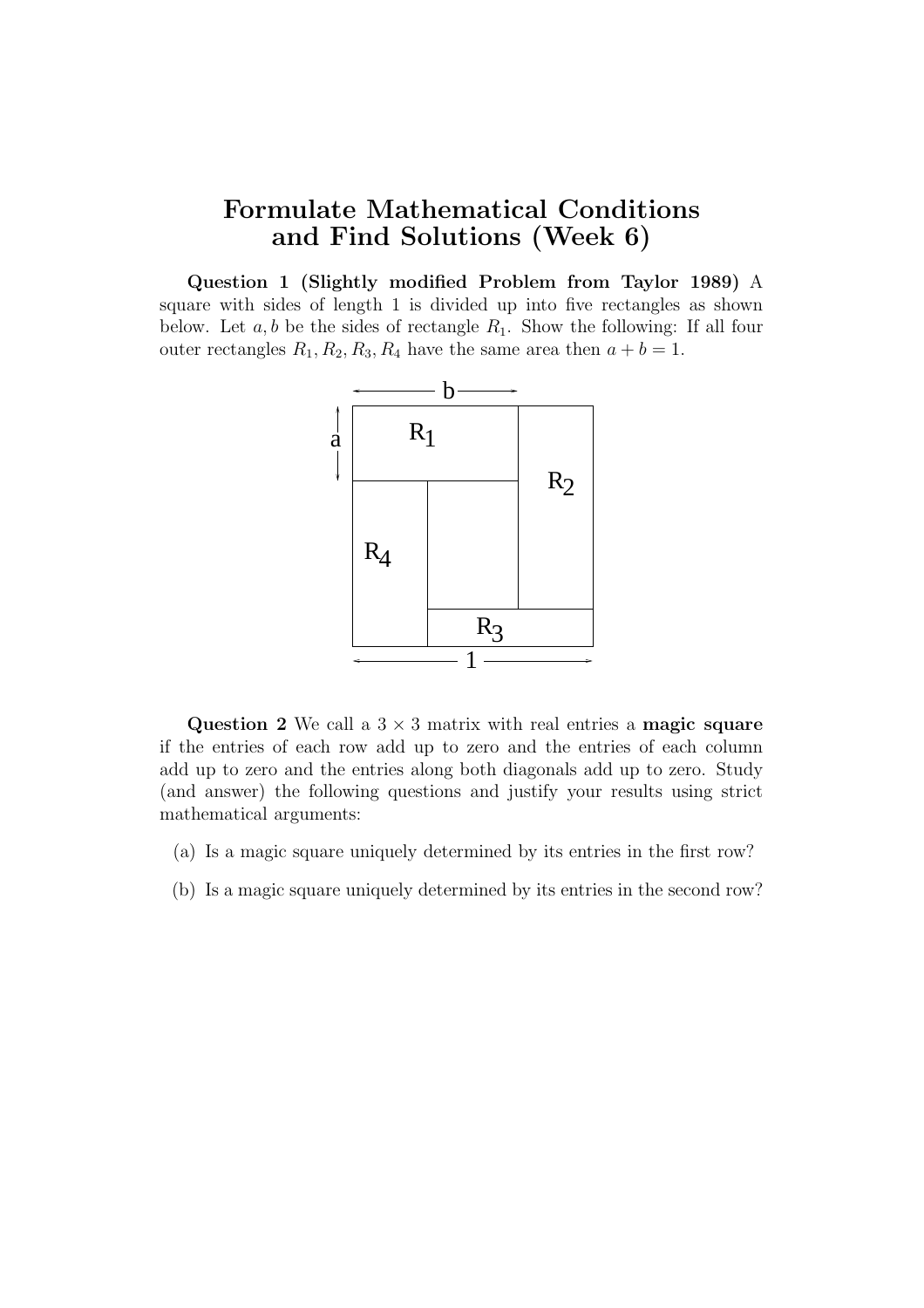## Formulate Mathematical Conditions and Find Solutions (Week 6)

Question 1 (Slightly modified Problem from Taylor 1989) A square with sides of length 1 is divided up into five rectangles as shown below. Let  $a, b$  be the sides of rectangle  $R_1$ . Show the following: If all four outer rectangles  $R_1, R_2, R_3, R_4$  have the same area then  $a + b = 1$ .



Question 2 We call a  $3 \times 3$  matrix with real entries a magic square if the entries of each row add up to zero and the entries of each column add up to zero and the entries along both diagonals add up to zero. Study (and answer) the following questions and justify your results using strict mathematical arguments:

- (a) Is a magic square uniquely determined by its entries in the first row?
- (b) Is a magic square uniquely determined by its entries in the second row?